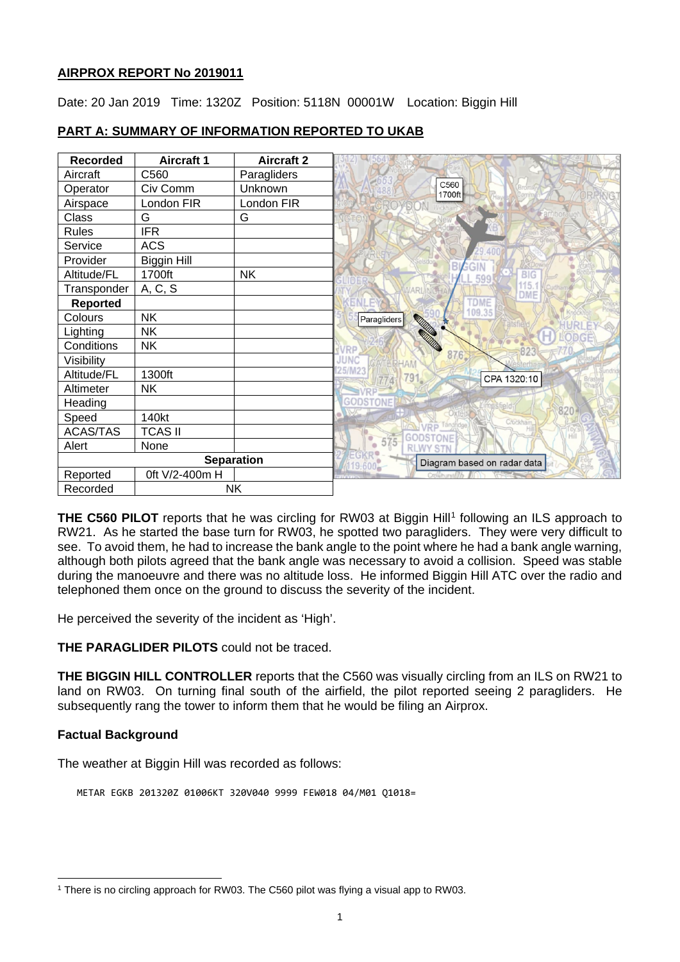#### **AIRPROX REPORT No 2019011**

Date: 20 Jan 2019 Time: 1320Z Position: 5118N 00001W Location: Biggin Hill

| <b>Recorded</b> | <b>Aircraft 1</b> | <b>Aircraft 2</b> |
|-----------------|-------------------|-------------------|
| Aircraft        | C560              | Paragliders       |
| Operator        | Civ Comm          | Unknown           |
| Airspace        | London FIR        | London FIR        |
| Class           | G                 | G                 |
| <b>Rules</b>    | <b>IFR</b>        |                   |
| Service         | <b>ACS</b>        |                   |
| Provider        | Biggin Hill       |                   |
| Altitude/FL     | 1700ft            | <b>NK</b>         |
| Transponder     | A, C, S           |                   |
| <b>Reported</b> |                   |                   |
| Colours         | <b>NK</b>         |                   |
| Lighting        | <b>NK</b>         |                   |
| Conditions      | <b>NK</b>         |                   |
| Visibility      |                   |                   |
| Altitude/FL     | 1300ft            |                   |
| Altimeter       | <b>NK</b>         |                   |
| Heading         |                   |                   |
| Speed           | 140kt             |                   |
| <b>ACAS/TAS</b> | <b>TCAS II</b>    |                   |
| Alert           | None              |                   |
|                 |                   | <b>Separation</b> |
| Reported        | 0ft V/2-400m H    |                   |
| Recorded        | <b>NK</b>         |                   |

# **PART A: SUMMARY OF INFORMATION REPORTED TO UKAB**

**THE C560 PILOT** reports that he was circling for RW03 at Biggin Hill<sup>[1](#page-0-0)</sup> following an ILS approach to RW21. As he started the base turn for RW03, he spotted two paragliders. They were very difficult to see. To avoid them, he had to increase the bank angle to the point where he had a bank angle warning, although both pilots agreed that the bank angle was necessary to avoid a collision. Speed was stable during the manoeuvre and there was no altitude loss. He informed Biggin Hill ATC over the radio and telephoned them once on the ground to discuss the severity of the incident.

He perceived the severity of the incident as 'High'.

**THE PARAGLIDER PILOTS** could not be traced.

**THE BIGGIN HILL CONTROLLER** reports that the C560 was visually circling from an ILS on RW21 to land on RW03. On turning final south of the airfield, the pilot reported seeing 2 paragliders. He subsequently rang the tower to inform them that he would be filing an Airprox.

## **Factual Background**

The weather at Biggin Hill was recorded as follows:

METAR EGKB 201320Z 01006KT 320V040 9999 FEW018 04/M01 Q1018=

<span id="page-0-0"></span> $\overline{a}$ <sup>1</sup> There is no circling approach for RW03. The C560 pilot was flying a visual app to RW03.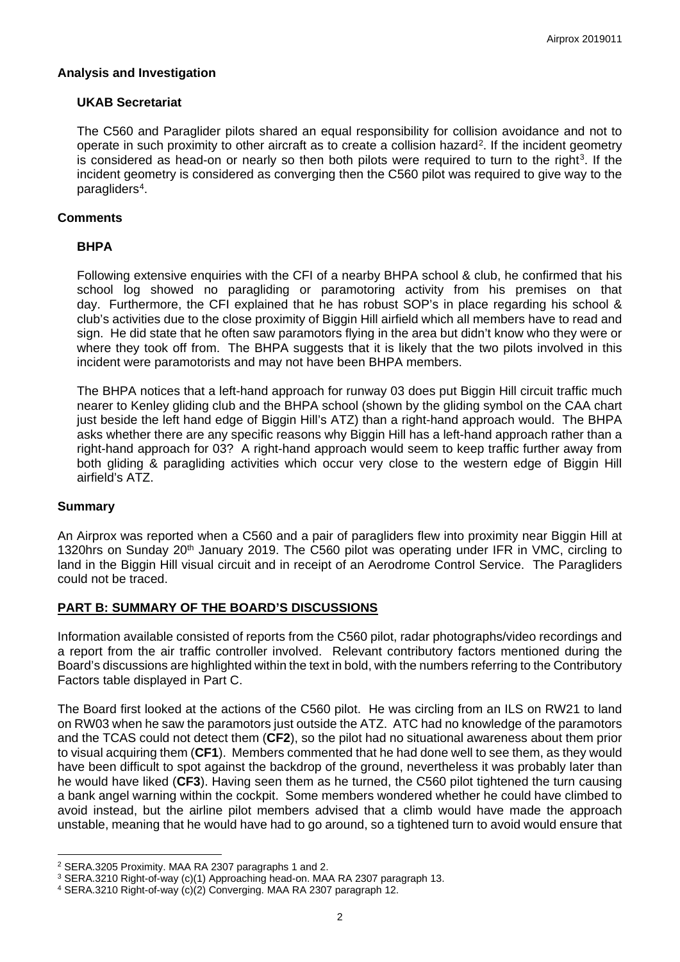#### **Analysis and Investigation**

#### **UKAB Secretariat**

The C560 and Paraglider pilots shared an equal responsibility for collision avoidance and not to operate in such proximity to other aircraft as to create a collision hazard[2](#page-1-0). If the incident geometry is considered as head-on or nearly so then both pilots were required to turn to the right<sup>3</sup>. If the incident geometry is considered as converging then the C560 pilot was required to give way to the paragliders[4](#page-1-2).

#### **Comments**

## **BHPA**

Following extensive enquiries with the CFI of a nearby BHPA school & club, he confirmed that his school log showed no paragliding or paramotoring activity from his premises on that day. Furthermore, the CFI explained that he has robust SOP's in place regarding his school & club's activities due to the close proximity of Biggin Hill airfield which all members have to read and sign. He did state that he often saw paramotors flying in the area but didn't know who they were or where they took off from. The BHPA suggests that it is likely that the two pilots involved in this incident were paramotorists and may not have been BHPA members.

The BHPA notices that a left-hand approach for runway 03 does put Biggin Hill circuit traffic much nearer to Kenley gliding club and the BHPA school (shown by the gliding symbol on the CAA chart just beside the left hand edge of Biggin Hill's ATZ) than a right-hand approach would. The BHPA asks whether there are any specific reasons why Biggin Hill has a left-hand approach rather than a right-hand approach for 03? A right-hand approach would seem to keep traffic further away from both gliding & paragliding activities which occur very close to the western edge of Biggin Hill airfield's ATZ.

#### **Summary**

 $\overline{a}$ 

An Airprox was reported when a C560 and a pair of paragliders flew into proximity near Biggin Hill at 1320hrs on Sunday 20<sup>th</sup> January 2019. The C560 pilot was operating under IFR in VMC, circling to land in the Biggin Hill visual circuit and in receipt of an Aerodrome Control Service. The Paragliders could not be traced.

## **PART B: SUMMARY OF THE BOARD'S DISCUSSIONS**

Information available consisted of reports from the C560 pilot, radar photographs/video recordings and a report from the air traffic controller involved. Relevant contributory factors mentioned during the Board's discussions are highlighted within the text in bold, with the numbers referring to the Contributory Factors table displayed in Part C.

The Board first looked at the actions of the C560 pilot. He was circling from an ILS on RW21 to land on RW03 when he saw the paramotors just outside the ATZ. ATC had no knowledge of the paramotors and the TCAS could not detect them (**CF2**), so the pilot had no situational awareness about them prior to visual acquiring them (**CF1**). Members commented that he had done well to see them, as they would have been difficult to spot against the backdrop of the ground, nevertheless it was probably later than he would have liked (**CF3**). Having seen them as he turned, the C560 pilot tightened the turn causing a bank angel warning within the cockpit. Some members wondered whether he could have climbed to avoid instead, but the airline pilot members advised that a climb would have made the approach unstable, meaning that he would have had to go around, so a tightened turn to avoid would ensure that

<span id="page-1-0"></span><sup>2</sup> SERA.3205 Proximity. MAA RA 2307 paragraphs 1 and 2.

<span id="page-1-1"></span><sup>3</sup> SERA.3210 Right-of-way (c)(1) Approaching head-on. MAA RA 2307 paragraph 13.

<span id="page-1-2"></span><sup>4</sup> SERA.3210 Right-of-way (c)(2) Converging. MAA RA 2307 paragraph 12.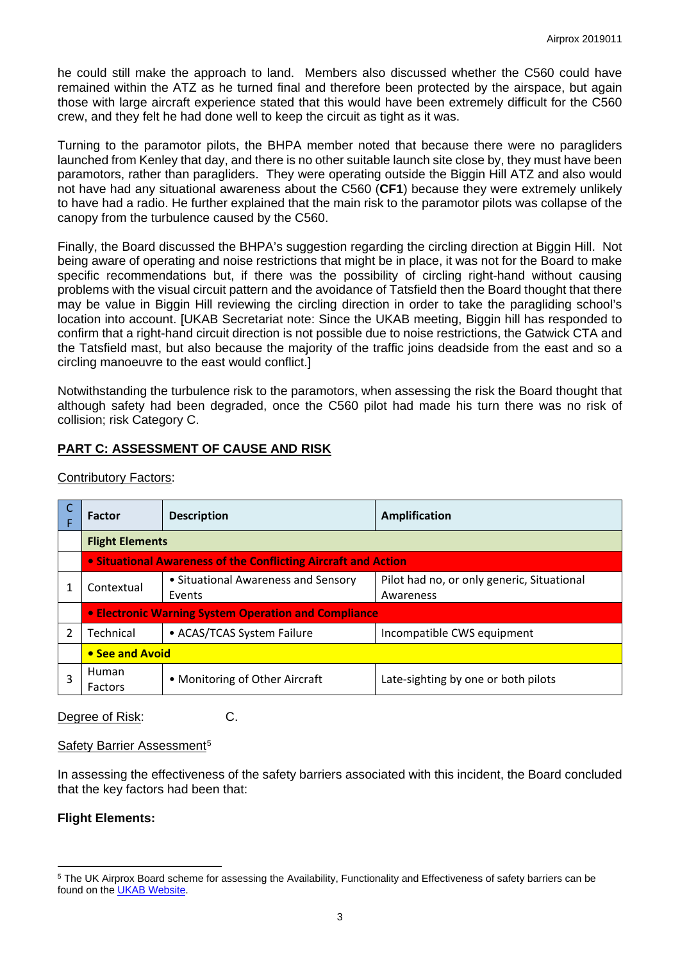he could still make the approach to land. Members also discussed whether the C560 could have remained within the ATZ as he turned final and therefore been protected by the airspace, but again those with large aircraft experience stated that this would have been extremely difficult for the C560 crew, and they felt he had done well to keep the circuit as tight as it was.

Turning to the paramotor pilots, the BHPA member noted that because there were no paragliders launched from Kenley that day, and there is no other suitable launch site close by, they must have been paramotors, rather than paragliders. They were operating outside the Biggin Hill ATZ and also would not have had any situational awareness about the C560 (**CF1**) because they were extremely unlikely to have had a radio. He further explained that the main risk to the paramotor pilots was collapse of the canopy from the turbulence caused by the C560.

Finally, the Board discussed the BHPA's suggestion regarding the circling direction at Biggin Hill. Not being aware of operating and noise restrictions that might be in place, it was not for the Board to make specific recommendations but, if there was the possibility of circling right-hand without causing problems with the visual circuit pattern and the avoidance of Tatsfield then the Board thought that there may be value in Biggin Hill reviewing the circling direction in order to take the paragliding school's location into account. [UKAB Secretariat note: Since the UKAB meeting, Biggin hill has responded to confirm that a right-hand circuit direction is not possible due to noise restrictions, the Gatwick CTA and the Tatsfield mast, but also because the majority of the traffic joins deadside from the east and so a circling manoeuvre to the east would conflict.]

Notwithstanding the turbulence risk to the paramotors, when assessing the risk the Board thought that although safety had been degraded, once the C560 pilot had made his turn there was no risk of collision; risk Category C.

# **PART C: ASSESSMENT OF CAUSE AND RISK**

| <b>Factor</b>                                                  | <b>Description</b>                            | <b>Amplification</b>                                    |  |  |  |  |  |  |  |
|----------------------------------------------------------------|-----------------------------------------------|---------------------------------------------------------|--|--|--|--|--|--|--|
| <b>Flight Elements</b>                                         |                                               |                                                         |  |  |  |  |  |  |  |
| • Situational Awareness of the Conflicting Aircraft and Action |                                               |                                                         |  |  |  |  |  |  |  |
| Contextual                                                     | • Situational Awareness and Sensory<br>Events | Pilot had no, or only generic, Situational<br>Awareness |  |  |  |  |  |  |  |
| • Electronic Warning System Operation and Compliance           |                                               |                                                         |  |  |  |  |  |  |  |
| Technical                                                      | • ACAS/TCAS System Failure                    | Incompatible CWS equipment                              |  |  |  |  |  |  |  |
| • See and Avoid                                                |                                               |                                                         |  |  |  |  |  |  |  |
| Human<br>Factors                                               | • Monitoring of Other Aircraft                | Late-sighting by one or both pilots                     |  |  |  |  |  |  |  |

Contributory Factors:

Degree of Risk: C.

## Safety Barrier Assessment<sup>[5](#page-2-0)</sup>

In assessing the effectiveness of the safety barriers associated with this incident, the Board concluded that the key factors had been that:

## **Flight Elements:**

 $\overline{a}$ 

<span id="page-2-0"></span><sup>5</sup> The UK Airprox Board scheme for assessing the Availability, Functionality and Effectiveness of safety barriers can be found on the [UKAB Website.](http://www.airproxboard.org.uk/Learn-more/Airprox-Barrier-Assessment/)